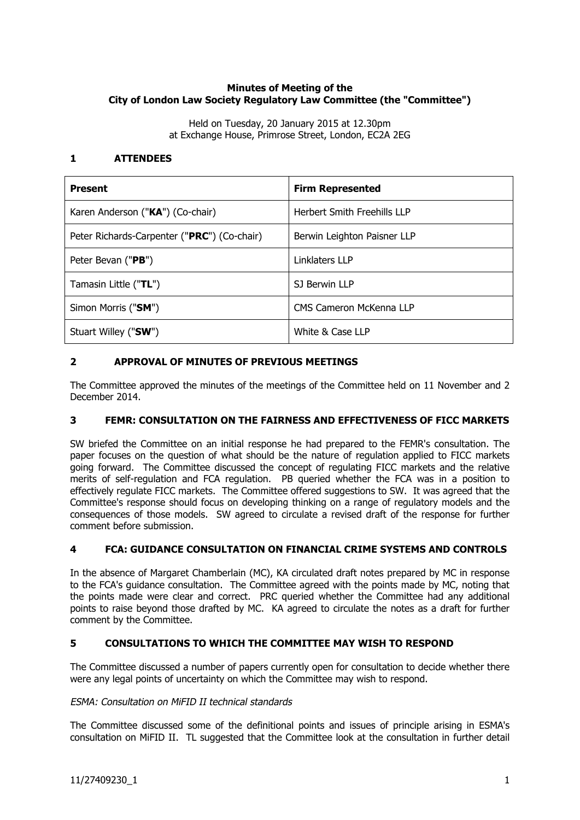# **Minutes of Meeting of the City of London Law Society Regulatory Law Committee (the "Committee")**

Held on Tuesday, 20 January 2015 at 12.30pm at Exchange House, Primrose Street, London, EC2A 2EG

## **1 ATTENDEES**

| <b>Present</b>                              | <b>Firm Represented</b>            |
|---------------------------------------------|------------------------------------|
| Karen Anderson ("KA") (Co-chair)            | <b>Herbert Smith Freehills LLP</b> |
| Peter Richards-Carpenter ("PRC") (Co-chair) | Berwin Leighton Paisner LLP        |
| Peter Bevan (" <b>PB</b> ")                 | Linklaters LLP                     |
| Tamasin Little ("TL")                       | SJ Berwin LLP                      |
| Simon Morris ("SM")                         | CMS Cameron McKenna LLP            |
| Stuart Willey ("SW")                        | White & Case LLP                   |

### **2 APPROVAL OF MINUTES OF PREVIOUS MEETINGS**

The Committee approved the minutes of the meetings of the Committee held on 11 November and 2 December 2014.

# **3 FEMR: CONSULTATION ON THE FAIRNESS AND EFFECTIVENESS OF FICC MARKETS**

SW briefed the Committee on an initial response he had prepared to the FEMR's consultation. The paper focuses on the question of what should be the nature of regulation applied to FICC markets going forward. The Committee discussed the concept of regulating FICC markets and the relative merits of self-regulation and FCA regulation. PB queried whether the FCA was in a position to effectively regulate FICC markets. The Committee offered suggestions to SW. It was agreed that the Committee's response should focus on developing thinking on a range of regulatory models and the consequences of those models. SW agreed to circulate a revised draft of the response for further comment before submission.

#### **4 FCA: GUIDANCE CONSULTATION ON FINANCIAL CRIME SYSTEMS AND CONTROLS**

In the absence of Margaret Chamberlain (MC), KA circulated draft notes prepared by MC in response to the FCA's guidance consultation. The Committee agreed with the points made by MC, noting that the points made were clear and correct. PRC queried whether the Committee had any additional points to raise beyond those drafted by MC. KA agreed to circulate the notes as a draft for further comment by the Committee.

# **5 CONSULTATIONS TO WHICH THE COMMITTEE MAY WISH TO RESPOND**

The Committee discussed a number of papers currently open for consultation to decide whether there were any legal points of uncertainty on which the Committee may wish to respond.

#### ESMA: Consultation on MiFID II technical standards

The Committee discussed some of the definitional points and issues of principle arising in ESMA's consultation on MiFID II. TL suggested that the Committee look at the consultation in further detail